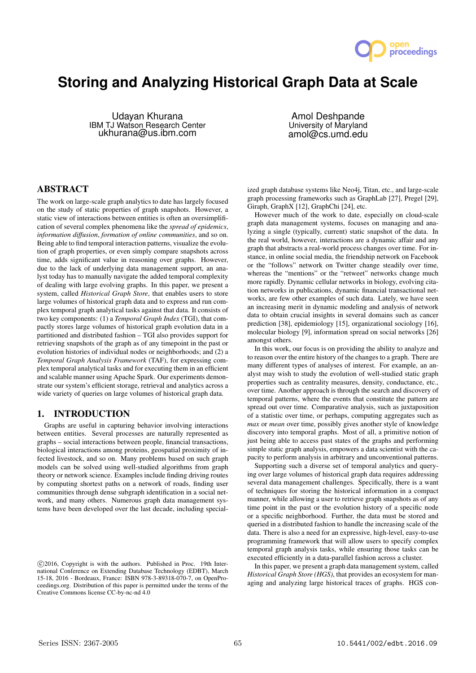

# **Storing and Analyzing Historical Graph Data at Scale**

Udayan Khurana IBM TJ Watson Research Center ukhurana@us.ibm.com

Amol Deshpande University of Maryland amol@cs.umd.edu

# ABSTRACT

The work on large-scale graph analytics to date has largely focused on the study of static properties of graph snapshots. However, a static view of interactions between entities is often an oversimplification of several complex phenomena like the *spread of epidemics*, *information diffusion*, *formation of online communities*, and so on. Being able to find temporal interaction patterns, visualize the evolution of graph properties, or even simply compare snapshots across time, adds significant value in reasoning over graphs. However, due to the lack of underlying data management support, an analyst today has to manually navigate the added temporal complexity of dealing with large evolving graphs. In this paper, we present a system, called *Historical Graph Store*, that enables users to store large volumes of historical graph data and to express and run complex temporal graph analytical tasks against that data. It consists of two key components: (1) a *Temporal Graph Index* (TGI), that compactly stores large volumes of historical graph evolution data in a partitioned and distributed fashion – TGI also provides support for retrieving snapshots of the graph as of any timepoint in the past or evolution histories of individual nodes or neighborhoods; and (2) a *Temporal Graph Analysis Framework* (TAF), for expressing complex temporal analytical tasks and for executing them in an efficient and scalable manner using Apache Spark. Our experiments demonstrate our system's efficient storage, retrieval and analytics across a wide variety of queries on large volumes of historical graph data.

## 1. INTRODUCTION

Graphs are useful in capturing behavior involving interactions between entities. Several processes are naturally represented as graphs – social interactions between people, financial transactions, biological interactions among proteins, geospatial proximity of infected livestock, and so on. Many problems based on such graph models can be solved using well-studied algorithms from graph theory or network science. Examples include finding driving routes by computing shortest paths on a network of roads, finding user communities through dense subgraph identification in a social network, and many others. Numerous graph data management systems have been developed over the last decade, including specialized graph database systems like Neo4j, Titan, etc., and large-scale graph processing frameworks such as GraphLab [27], Pregel [29], Giraph, GraphX [12], GraphChi [24], etc.

However much of the work to date, especially on cloud-scale graph data management systems, focuses on managing and analyzing a single (typically, current) static snapshot of the data. In the real world, however, interactions are a dynamic affair and any graph that abstracts a real-world process changes over time. For instance, in online social media, the friendship network on Facebook or the "follows" network on Twitter change steadily over time, whereas the "mentions" or the "retweet" networks change much more rapidly. Dynamic cellular networks in biology, evolving citation networks in publications, dynamic financial transactional networks, are few other examples of such data. Lately, we have seen an increasing merit in dynamic modeling and analysis of network data to obtain crucial insights in several domains such as cancer prediction [38], epidemiology [15], organizational sociology [16], molecular biology [9], information spread on social networks [26] amongst others.

In this work, our focus is on providing the ability to analyze and to reason over the entire history of the changes to a graph. There are many different types of analyses of interest. For example, an analyst may wish to study the evolution of well-studied static graph properties such as centrality measures, density, conductance, etc., over time. Another approach is through the search and discovery of temporal patterns, where the events that constitute the pattern are spread out over time. Comparative analysis, such as juxtaposition of a statistic over time, or perhaps, computing aggregates such as *max* or *mean* over time, possibly gives another style of knowledge discovery into temporal graphs. Most of all, a primitive notion of just being able to access past states of the graphs and performing simple static graph analysis, empowers a data scientist with the capacity to perform analysis in arbitrary and unconventional patterns.

Supporting such a diverse set of temporal analytics and querying over large volumes of historical graph data requires addressing several data management challenges. Specifically, there is a want of techniques for storing the historical information in a compact manner, while allowing a user to retrieve graph snapshots as of any time point in the past or the evolution history of a specific node or a specific neighborhood. Further, the data must be stored and queried in a distributed fashion to handle the increasing scale of the data. There is also a need for an expressive, high-level, easy-to-use programming framework that will allow users to specify complex temporal graph analysis tasks, while ensuring those tasks can be executed efficiently in a data-parallel fashion across a cluster.

In this paper, we present a graph data management system, called *Historical Graph Store (HGS)*, that provides an ecosystem for managing and analyzing large historical traces of graphs. HGS con-

c 2016, Copyright is with the authors. Published in Proc. 19th International Conference on Extending Database Technology (EDBT), March 15-18, 2016 - Bordeaux, France: ISBN 978-3-89318-070-7, on OpenProceedings.org. Distribution of this paper is permitted under the terms of the Creative Commons license CC-by-nc-nd 4.0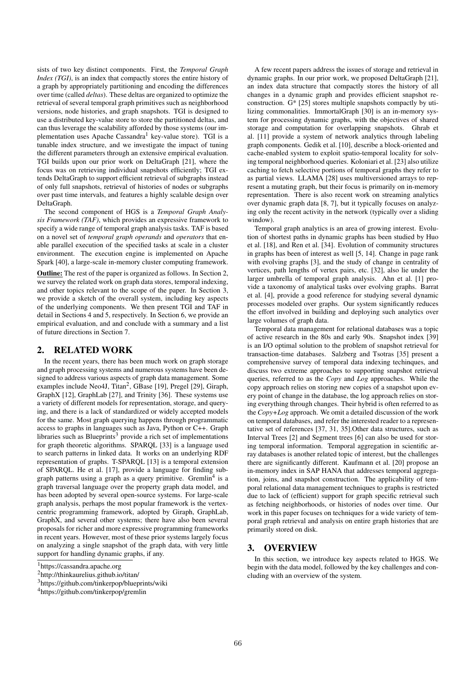sists of two key distinct components. First, the *Temporal Graph Index (TGI)*, is an index that compactly stores the entire history of a graph by appropriately partitioning and encoding the differences over time (called *deltas*). These deltas are organized to optimize the retrieval of several temporal graph primitives such as neighborhood versions, node histories, and graph snapshots. TGI is designed to use a distributed key-value store to store the partitioned deltas, and can thus leverage the scalability afforded by those systems (our implementation uses Apache Cassandra<sup>1</sup> key-value store). TGI is a tunable index structure, and we investigate the impact of tuning the different parameters through an extensive empirical evaluation. TGI builds upon our prior work on DeltaGraph [21], where the focus was on retrieving individual snapshots efficiently; TGI extends DeltaGraph to support efficient retrieval of subgraphs instead of only full snapshots, retrieval of histories of nodes or subgraphs over past time intervals, and features a highly scalable design over DeltaGraph.

The second component of HGS is a *Temporal Graph Analysis Framework (TAF)*, which provides an expressive framework to specify a wide range of temporal graph analysis tasks. TAF is based on a novel set of *temporal graph operands* and *operators* that enable parallel execution of the specified tasks at scale in a cluster environment. The execution engine is implemented on Apache Spark [40], a large-scale in-memory cluster computing framework.

Outline: The rest of the paper is organized as follows. In Section 2, we survey the related work on graph data stores, temporal indexing, and other topics relevant to the scope of the paper. In Section 3, we provide a sketch of the overall system, including key aspects of the underlying components. We then present TGI and TAF in detail in Sections 4 and 5, respectively. In Section 6, we provide an empirical evaluation, and and conclude with a summary and a list of future directions in Section 7.

# 2. RELATED WORK

In the recent years, there has been much work on graph storage and graph processing systems and numerous systems have been designed to address various aspects of graph data management. Some examples include Neo4J, Titan<sup>2</sup>, GBase [19], Pregel [29], Giraph, GraphX [12], GraphLab [27], and Trinity [36]. These systems use a variety of different models for representation, storage, and querying, and there is a lack of standardized or widely accepted models for the same. Most graph querying happens through programmatic access to graphs in languages such as Java, Python or C++. Graph libraries such as Blueprints<sup>3</sup> provide a rich set of implementations for graph theoretic algorithms. SPARQL [33] is a language used to search patterns in linked data. It works on an underlying RDF representation of graphs. T-SPARQL [13] is a temporal extension of SPARQL. He et al. [17], provide a language for finding subgraph patterns using a graph as a query primitive. Gremlin<sup>4</sup> is a graph traversal language over the property graph data model, and has been adopted by several open-source systems. For large-scale graph analysis, perhaps the most popular framework is the vertexcentric programming framework, adopted by Giraph, GraphLab, GraphX, and several other systems; there have also been several proposals for richer and more expressive programming frameworks in recent years. However, most of these prior systems largely focus on analyzing a single snapshot of the graph data, with very little support for handling dynamic graphs, if any.

A few recent papers address the issues of storage and retrieval in dynamic graphs. In our prior work, we proposed DeltaGraph [21], an index data structure that compactly stores the history of all changes in a dynamic graph and provides efficient snapshot reconstruction. G\* [25] stores multiple snapshots compactly by utilizing commonalities. ImmortalGraph [30] is an in-memory system for processing dynamic graphs, with the objectives of shared storage and computation for overlapping snapshots. Ghrab et al. [11] provide a system of network analytics through labeling graph components. Gedik et al. [10], describe a block-oriented and cache-enabled system to exploit spatio-temporal locality for solving temporal neighborhood queries. Koloniari et al. [23] also utilize caching to fetch selective portions of temporal graphs they refer to as partial views. LLAMA [28] uses multiversioned arrays to represent a mutating graph, but their focus is primarily on in-memory representation. There is also recent work on streaming analytics over dynamic graph data [8, 7], but it typically focuses on analyzing only the recent activity in the network (typically over a sliding window).

Temporal graph analytics is an area of growing interest. Evolution of shortest paths in dynamic graphs has been studied by Huo et al. [18], and Ren et al. [34]. Evolution of community structures in graphs has been of interest as well [5, 14]. Change in page rank with evolving graphs [3], and the study of change in centrality of vertices, path lengths of vertex pairs, etc. [32], also lie under the larger umbrella of temporal graph analysis. Ahn et al. [1] provide a taxonomy of analytical tasks over evolving graphs. Barrat et al. [4], provide a good reference for studying several dynamic processes modeled over graphs. Our system significantly reduces the effort involved in building and deploying such analytics over large volumes of graph data.

Temporal data management for relational databases was a topic of active research in the 80s and early 90s. Snapshot index [39] is an I/O optimal solution to the problem of snapshot retrieval for transaction-time databases. Salzberg and Tsotras [35] present a comprehensive survey of temporal data indexing techinques, and discuss two extreme approaches to supporting snapshot retrieval queries, referred to as the *Copy* and *Log* approaches. While the copy approach relies on storing new copies of a snapshot upon every point of change in the database, the log approach relies on storing everything through changes. Their hybrid is often referred to as the *Copy+Log* approach. We omit a detailed discussion of the work on temporal databases, and refer the interested reader to a representative set of references [37, 31, 35].Other data structures, such as Interval Trees [2] and Segment trees [6] can also be used for storing temporal information. Temporal aggregation in scientific array databases is another related topic of interest, but the challenges there are significantly different. Kaufmann et al. [20] propose an in-memory index in SAP HANA that addresses temporal aggregation, joins, and snapshot construction. The applicability of temporal relational data management techniques to graphs is restricted due to lack of (efficient) support for graph specific retrieval such as fetching neighborhoods, or histories of nodes over time. Our work in this paper focuses on techniques for a wide variety of temporal graph retrieval and analysis on entire graph histories that are primarily stored on disk.

## 3. OVERVIEW

In this section, we introduce key aspects related to HGS. We begin with the data model, followed by the key challenges and concluding with an overview of the system.

<sup>1</sup>https://cassandra.apache.org

<sup>2</sup>http://thinkaurelius.github.io/titan/

<sup>3</sup>https://github.com/tinkerpop/blueprints/wiki

<sup>4</sup>https://github.com/tinkerpop/gremlin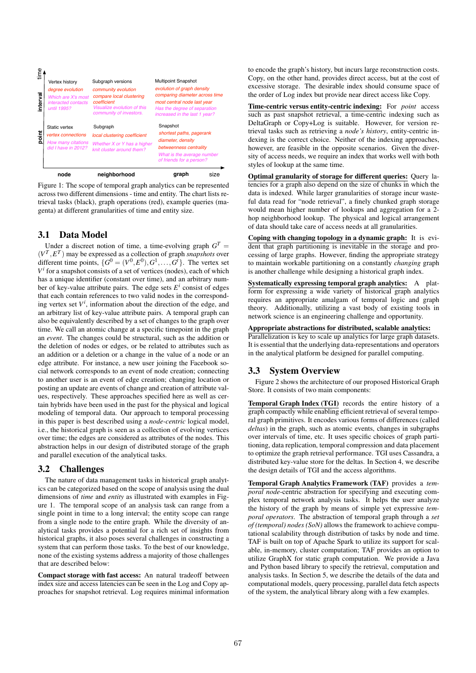

Figure 1: The scope of temporal graph analytics can be represented across two different dimensions - time and entity. The chart lists retrieval tasks (black), graph operations (red), example queries (magenta) at different granularities of time and entity size.

# 3.1 Data Model

Under a discreet notion of time, a time-evolving graph  $G<sup>T</sup>$  =  $(V^T, E^T)$  may be expressed as a collection of graph *snapshots* over different time points,  $\{G^0 = (V^0, E^0), G^1, \ldots, G^t\}$ . The vertex set  $V^i$  for a snapshot consists of a set of vertices (nodes), each of which has a unique identifier (constant over time), and an arbitrary number of key-value attribute pairs. The edge sets  $E^i$  consist of edges that each contain references to two valid nodes in the corresponding vertex set  $V^i$ , information about the direction of the edge, and an arbitrary list of key-value attribute pairs. A temporal graph can also be equivalently described by a set of changes to the graph over time. We call an atomic change at a specific timepoint in the graph an *event*. The changes could be structural, such as the addition or the deletion of nodes or edges, or be related to attributes such as an addition or a deletion or a change in the value of a node or an edge attribute. For instance, a new user joining the Facebook social network corresponds to an event of node creation; connecting to another user is an event of edge creation; changing location or posting an update are events of change and creation of attribute values, respectively. These approaches specified here as well as certain hybrids have been used in the past for the physical and logical modeling of temporal data. Our approach to temporal processing in this paper is best described using a *node-centric* logical model, i.e., the historical graph is seen as a collection of evolving vertices over time; the edges are considered as attributes of the nodes. This abstraction helps in our design of distributed storage of the graph and parallel execution of the analytical tasks.

## 3.2 Challenges

The nature of data management tasks in historical graph analytics can be categorized based on the scope of analysis using the dual dimensions of *time* and *entity* as illustrated with examples in Figure 1. The temporal scope of an analysis task can range from a single point in time to a long interval; the entity scope can range from a single node to the entire graph. While the diversity of analytical tasks provides a potential for a rich set of insights from historical graphs, it also poses several challenges in constructing a system that can perform those tasks. To the best of our knowledge, none of the existing systems address a majority of those challenges that are described below:

Compact storage with fast access: An natural tradeoff between index size and access latencies can be seen in the Log and Copy approaches for snapshot retrieval. Log requires minimal information to encode the graph's history, but incurs large reconstruction costs. Copy, on the other hand, provides direct access, but at the cost of excessive storage. The desirable index should consume space of the order of Log index but provide near direct access like Copy.

Time-centric versus entity-centric indexing: For *point* access such as past snapshot retrieval, a time-centric indexing such as DeltaGraph or Copy+Log is suitable. However, for version retrieval tasks such as retrieving a *node's history*, entity-centric indexing is the correct choice. Neither of the indexing approaches, however, are feasible in the opposite scenarios. Given the diversity of access needs, we require an index that works well with both styles of lookup at the same time.

Optimal granularity of storage for different queries: Query latencies for a graph also depend on the size of chunks in which the data is indexed. While larger granularities of storage incur wasteful data read for "node retrieval", a finely chunked graph storage would mean higher number of lookups and aggregation for a 2 hop neighborhood lookup. The physical and logical arrangement of data should take care of access needs at all granularities.

Coping with changing topology in a dynamic graph: It is evident that graph partitioning is inevitable in the storage and processing of large graphs. However, finding the appropriate strategy to maintain workable partitioning on a constantly *changing* graph is another challenge while designing a historical graph index.

Systematically expressing temporal graph analytics: A platform for expressing a wide variety of historical graph analytics requires an appropriate amalgam of temporal logic and graph theory. Additionally, utilizing a vast body of existing tools in network science is an engineering challenge and opportunity.

#### Appropriate abstractions for distributed, scalable analytics:

Parallelization is key to scale up analytics for large graph datasets. It is essential that the underlying data-representations and operators in the analytical platform be designed for parallel computing.

# 3.3 System Overview

Figure 2 shows the architecture of our proposed Historical Graph Store. It consists of two main components:

Temporal Graph Index (TGI) records the entire history of a graph compactly while enabling efficient retrieval of several temporal graph primitives. It encodes various forms of differences (called *deltas*) in the graph, such as atomic events, changes in subgraphs over intervals of time, etc. It uses specific choices of graph partitioning, data replication, temporal compression and data placement to optimize the graph retrieval performance. TGI uses Cassandra, a distributed key-value store for the deltas. In Section 4, we describe the design details of TGI and the access algorithms.

Temporal Graph Analytics Framework (TAF) provides a *temporal node*-centric abstraction for specifying and executing complex temporal network analysis tasks. It helps the user analyze the history of the graph by means of simple yet expressive *temporal operators*. The abstraction of temporal graph through a *set of (temporal) nodes (SoN)* allows the framework to achieve computational scalability through distribution of tasks by node and time. TAF is built on top of Apache Spark to utilize its support for scalable, in-memory, cluster computation; TAF provides an option to utilize GraphX for static graph computation. We provide a Java and Python based library to specify the retrieval, computation and analysis tasks. In Section 5, we describe the details of the data and computational models, query processing, parallel data fetch aspects of the system, the analytical library along with a few examples.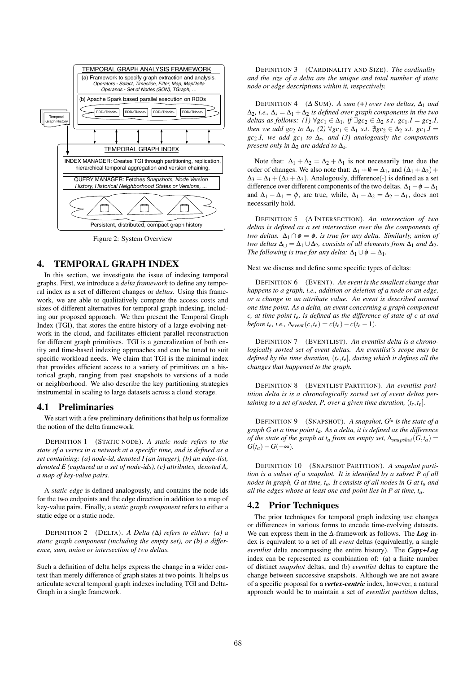

Figure 2: System Overview

## 4. TEMPORAL GRAPH INDEX

In this section, we investigate the issue of indexing temporal graphs. First, we introduce a *delta framework* to define any temporal index as a set of different changes or *deltas*. Using this framework, we are able to qualitatively compare the access costs and sizes of different alternatives for temporal graph indexing, including our proposed approach. We then present the Temporal Graph Index (TGI), that stores the entire history of a large evolving network in the cloud, and facilitates efficient parallel reconstruction for different graph primitives. TGI is a generalization of both entity and time-based indexing approaches and can be tuned to suit specific workload needs. We claim that TGI is the minimal index that provides efficient access to a variety of primitives on a historical graph, ranging from past snapshots to versions of a node or neighborhood. We also describe the key partitioning strategies instrumental in scaling to large datasets across a cloud storage.

#### 4.1 Preliminaries

We start with a few preliminary definitions that help us formalize the notion of the delta framework.

DEFINITION 1 (STATIC NODE). *A static node refers to the state of a vertex in a network at a specific time, and is defined as a set containing: (a) node-id, denoted I (an integer), (b) an edge-list, denoted E (captured as a set of node-ids), (c) attributes, denoted A, a map of key-value pairs.*

A *static edge* is defined analogously, and contains the node-ids for the two endpoints and the edge direction in addition to a map of key-value pairs. Finally, a *static graph component* refers to either a static edge or a static node.

DEFINITION 2 (DELTA). *A Delta (*∆*) refers to either: (a) a static graph component (including the empty set), or (b) a difference, sum, union or intersection of two deltas.*

Such a definition of delta helps express the change in a wider context than merely difference of graph states at two points. It helps us articulate several temporal graph indexes including TGI and Delta-Graph in a single framework.

DEFINITION 3 (CARDINALITY AND SIZE). *The cardinality and the size of a delta are the unique and total number of static node or edge descriptions within it, respectively.*

DEFINITION 4  $(Δ SUM)$ . *A sum* (+) over two deltas,  $Δ_1$  and  $\Delta_2$ , *i.e.*,  $\Delta_s = \Delta_1 + \Delta_2$  *is defined over graph components in the two deltas as follows:* (1)  $\forall$ *gc*<sub>1</sub> ∈  $\Delta$ <sub>1</sub>*, if* ∃*gc*<sub>2</sub> ∈  $\Delta$ <sub>2</sub> *s.t. gc*<sub>1</sub> *I* = *gc*<sub>2</sub> *I, then we add gc*<sub>2</sub> *to*  $\Delta_s$ , (2)  $\forall$ gc<sub>1</sub> ∈  $\Delta_1$  *s.t*.  $\sharp$ gc<sub>2</sub> ∈  $\Delta_2$  *s.t.* gc<sub>1</sub> *I* =  $gc_2.I$ *, we add*  $gc_1$  *to*  $\Delta_s$ *, and (3) analogously the components present only in*  $\Delta_2$  *are added to*  $\Delta_s$ *.* 

Note that:  $\Delta_1 + \Delta_2 = \Delta_2 + \Delta_1$  is not necessarily true due the order of changes. We also note that:  $\Delta_1 + \emptyset = \Delta_1$ , and  $(\Delta_1 + \Delta_2)$  +  $\Delta_3 = \Delta_1 + (\Delta_2 + \Delta_3)$ . Analogously, difference(-) is defined as a set difference over different components of the two deltas.  $\Delta_1 - \phi = \Delta_1$ and  $\Delta_1 - \Delta_1 = \phi$ , are true, while,  $\Delta_1 - \Delta_2 = \Delta_2 - \Delta_1$ , does not necessarily hold.

DEFINITION 5 (∆ INTERSECTION). *An intersection of two deltas is defined as a set intersection over the the components of two deltas.*  $\Delta_1 \cap \phi = \phi$ *, is true for any delta. Similarly, union of two deltas*  $\Delta_{\cup} = \Delta_1 \cup \Delta_2$ *, consists of all elements from*  $\Delta_1$  *and*  $\Delta_2$ *. The following is true for any delta:*  $\Delta_1 \cup \phi = \Delta_1$ *.* 

Next we discuss and define some specific types of deltas:

DEFINITION 6 (EVENT). *An event is the smallest change that happens to a graph, i.e., addition or deletion of a node or an edge, or a change in an attribute value. An event is described around one time point. As a delta, an event concerning a graph component c, at time point te, is defined as the difference of state of c at and before t<sub>e</sub>*, *i.e.*,  $\Delta_{event}(c, t_e) = c(t_e) - c(t_e - 1)$ .

DEFINITION 7 (EVENTLIST). *An eventlist delta is a chronologically sorted set of event deltas. An eventlist's scope may be defined by the time duration,* (*ts*,*te*]*, during which it defines all the changes that happened to the graph.*

DEFINITION 8 (EVENTLIST PARTITION). *An eventlist paritition delta is is a chronologically sorted set of event deltas pertaining to a set of nodes, P, over a given time duration,*  $(t_s, t_e)$ *.* 

DEFINITION 9 (SNAPSHOT). *A snapshot, Gt<sup>a</sup> is the state of a graph G at a time point ta. As a delta, it is defined as the difference of the state of the graph at*  $t_a$  *from an empty set,*  $\Delta_{snapshot}(G, t_a) =$  $G(t_a) - G(-\infty)$ .

DEFINITION 10 (SNAPSHOT PARTITION). *A snapshot partition is a subset of a snapshot. It is identified by a subset P of all nodes in graph, G at time, ta. It consists of all nodes in G at ta and all the edges whose at least one end-point lies in P at time, ta.*

#### 4.2 Prior Techniques

The prior techniques for temporal graph indexing use changes or differences in various forms to encode time-evolving datasets. We can express them in the ∆-framework as follows. The *Log* index is equivalent to a set of all *event* deltas (equivalently, a single *eventlist* delta encompassing the entire history). The *Copy+Log* index can be represented as combination of: (a) a finite number of distinct *snapshot* deltas, and (b) *eventlist* deltas to capture the change between successive snapshots. Although we are not aware of a specific proposal for a *vertex-centric* index, however, a natural approach would be to maintain a set of *eventlist partition* deltas,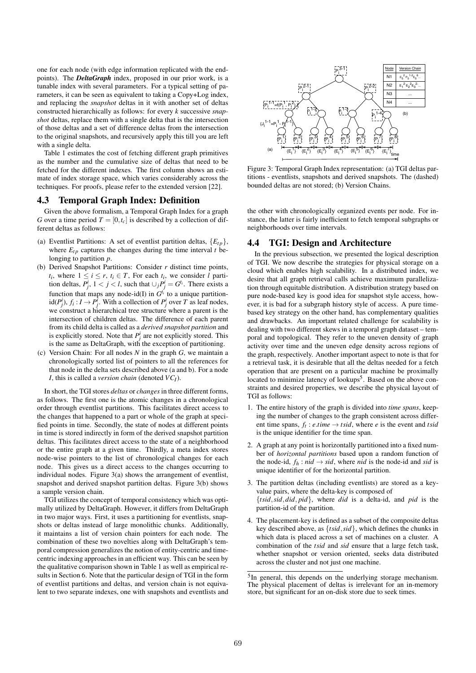one for each node (with edge information replicated with the endpoints). The *DeltaGraph* index, proposed in our prior work, is a tunable index with several parameters. For a typical setting of parameters, it can be seen as equivalent to taking a Copy+Log index, and replacing the *snapshot* deltas in it with another set of deltas constructed hierarchically as follows: for every *k* successive *snapshot* deltas, replace them with a single delta that is the intersection of those deltas and a set of difference deltas from the intersection to the original snapshots, and recursively apply this till you are left with a single delta.

Table 1 estimates the cost of fetching different graph primitives as the number and the cumulative size of deltas that need to be fetched for the different indexes. The first column shows an estimate of index storage space, which varies considerably across the techniques. For proofs, please refer to the extended version [22].

#### 4.3 Temporal Graph Index: Definition

Given the above formalism, a Temporal Graph Index for a graph *G* over a time period  $T = [0, t_c]$  is described by a collection of different deltas as follows:

- (a) Eventlist Partitions: A set of eventlist partition deltas,  ${E_{tn}}$ , where  $E_{tp}$  captures the changes during the time interval *t* belonging to partition *p*.
- (b) Derived Snapshot Partitions: Consider *r* distinct time points, *t*<sub>*i*</sub>, where  $1 \le i \le r$ ,  $t_i \in T$ , For each  $t_i$ , we consider *l* partition deltas,  $P^i_j$ ,  $1 < j < l$ , such that  $\cup_j P^i_j = G^{t_i}$ . There exists a function that maps any node-id(I) in  $G^{t_i}$  to a unique partition $id(P_j^i)$ ,  $f_i: I \to P_j^i$ . With a collection of  $P_j^i$  over *T* as leaf nodes, we construct a hierarchical tree structure where a parent is the intersection of children deltas. The difference of each parent from its child delta is called as a *derived snapshot partition* and is explicitly stored. Note that  $P_j^i$  are not explicitly stored. This is the same as DeltaGraph, with the exception of partitioning.
- (c) Version Chain: For all nodes *N* in the graph *G*, we maintain a chronologically sorted list of pointers to all the references for that node in the delta sets described above (a and b). For a node *I*, this is called a *version chain* (denoted *VCI*).

In short, the TGI stores *deltas* or *changes*in three different forms, as follows. The first one is the atomic changes in a chronological order through eventlist partitions. This facilitates direct access to the changes that happened to a part or whole of the graph at specified points in time. Secondly, the state of nodes at different points in time is stored indirectly in form of the derived snapshot partition deltas. This facilitates direct access to the state of a neighborhood or the entire graph at a given time. Thirdly, a meta index stores node-wise pointers to the list of chronological changes for each node. This gives us a direct access to the changes occurring to individual nodes. Figure 3(a) shows the arrangement of eventlist, snapshot and derived snapshot partition deltas. Figure 3(b) shows a sample version chain.

TGI utilizes the concept of temporal consistency which was optimally utilized by DeltaGraph. However, it differs from DeltaGraph in two major ways. First, it uses a partitioning for eventlists, snapshots or deltas instead of large monolithic chunks. Additionally, it maintains a list of version chain pointers for each node. The combination of these two novelties along with DeltaGraph's temporal compression generalizes the notion of entity-centric and timecentric indexing approaches in an efficient way. This can be seen by the qualitative comparison shown in Table 1 as well as empirical results in Section 6. Note that the particular design of TGI in the form of eventlist partitions and deltas, and version chain is not equivalent to two separate indexes, one with snapshots and eventlists and



Figure 3: Temporal Graph Index representation: (a) TGI deltas partitions - eventlists, snapshots and derived snapshots. The (dashed) bounded deltas are not stored; (b) Version Chains.

the other with chronologically organized events per node. For instance, the latter is fairly inefficient to fetch temporal subgraphs or neighborhoods over time intervals.

#### 4.4 TGI: Design and Architecture

In the previous subsection, we presented the logical description of TGI. We now describe the strategies for physical storage on a cloud which enables high scalability. In a distributed index, we desire that all graph retrieval calls achieve maximum parallelization through equitable distribution. A distribution strategy based on pure node-based key is good idea for snapshot style access, however, it is bad for a subgraph history style of access. A pure timebased key strategy on the other hand, has complementary qualities and drawbacks. An important related challenge for scalability is dealing with two different skews in a temporal graph dataset – temporal and topological. They refer to the uneven density of graph activity over time and the uneven edge density across regions of the graph, respectively. Another important aspect to note is that for a retrieval task, it is desirable that all the deltas needed for a fetch operation that are present on a particular machine be proximally located to minimize latency of lookups<sup>5</sup>. Based on the above constraints and desired properties, we describe the physical layout of TGI as follows:

- 1. The entire history of the graph is divided into *time spans*, keeping the number of changes to the graph consistent across different time spans,  $f_t$ : *e.time*  $\rightarrow$  *tsid*, where *e* is the event and *tsid* is the unique identifier for the time span.
- 2. A graph at any point is horizontally partitioned into a fixed number of *horizontal partitions* based upon a random function of the node-id,  $f_h$ :  $nid \rightarrow sid$ , where *nid* is the node-id and *sid* is unique identifier of for the horizontal partition.
- 3. The partition deltas (including eventlists) are stored as a keyvalue pairs, where the delta-key is composed of {*tsid*,*sid*,*did*, *pid*}, where *did* is a delta-id, and *pid* is the partition-id of the partition.
- 4. The placement-key is defined as a subset of the composite deltas key described above, as {*tsid*,*sid*}, which defines the chunks in which data is placed across a set of machines on a cluster. A combination of the *tsid* and *sid* ensure that a large fetch task, whether snapshot or version oriented, seeks data distributed across the cluster and not just one machine.

<sup>&</sup>lt;sup>5</sup>In general, this depends on the underlying storage mechanism. The physical placement of deltas is irrelevant for an in-memory store, but significant for an on-disk store due to seek times.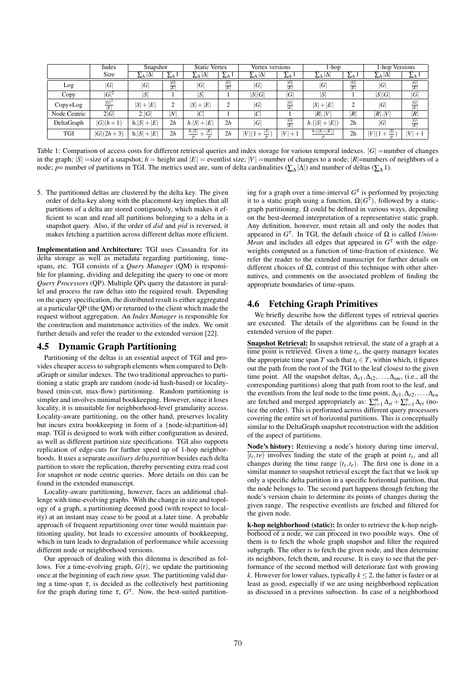|              | Index               | Snapshot      |                   | <b>Static Vertex</b> |                          | Vertex versions  |                   | 1-hop           |                   | 1-hop Versions     |                   |
|--------------|---------------------|---------------|-------------------|----------------------|--------------------------|------------------|-------------------|-----------------|-------------------|--------------------|-------------------|
|              | Size                | Δ<br>ΣΔ       | $2\Delta$         | IΔ<br>ΣΔ             | ΣΔ                       | $ \Delta $<br>ΣΔ | ΣΔ                | $\Delta$<br>ΣΔ  | ΣΔ                | $2\Delta  \Delta $ | ∠∆                |
| Log          | G                   | G             | $\frac{ G }{ E }$ | G                    | $\frac{\overline{G}}{E}$ | G                | $\frac{ G }{ E }$ | G               | $\frac{ G }{ E }$ | G                  | $\frac{ G }{ E }$ |
| Copy         | $ G ^2$             | S'            |                   | S                    |                          | S  G             | G                 | S               |                   | S  G               | G                 |
| Copy+Log     | $\frac{ G ^2}{ E }$ | $ S + E $     | ◠<br>∠            | $ S + E $            | 2                        | G                | $\frac{ G }{ E }$ | $ S + E $       | ◠                 | G                  | $\frac{ G }{ E }$ |
| Node Centric | 2 G                 | 2. G          | N                 | C                    |                          | IC               |                   | R . V           | R                 | R . V              | R                 |
| DeltaGraph   | $ G (h+1)$          | $h. S  +  E $ | 2h                | $ h S + E $          | 2h                       | G                | $\frac{ G }{ E }$ | $h.( S  +  E )$ | 2 <sub>h</sub>    | G                  | $\frac{ G }{ E }$ |
| TGI          | $ G (2h+3)$         | $h. S + E $   | 2h                | h. S <br>E           | 2h                       | $ V (1 +$        | V <br>$+1$        | $h.( S + E )$   | 2 <sub>h</sub>    | $ V _1$            | $ V +$            |

Table 1: Comparison of access costs for different retrieval queries and index storage for various temporal indexes.  $|G|$  =number of changes in the graph;  $|S|$  =size of a snapshot;  $h$  = height and  $|E|$  = eventlist size;  $|V|$  = number of changes to a node;  $|R|$ =numbers of neighbors of a node; *p*= number of partitions in TGI. The metrics used are, sum of delta cardinalities ( $\sum_{\Delta} |\Delta|$ ) and number of deltas ( $\sum_{\Delta} 1$ ).

5. The partitioned deltas are clustered by the delta key. The given order of delta-key along with the placement-key implies that all partitions of a delta are stored contiguously, which makes it efficient to scan and read all partitions belonging to a delta in a snapshot query. Also, if the order of *did* and *pid* is reversed, it makes fetching a partition across different deltas more efficient.

Implementation and Architecture: TGI uses Cassandra for its delta storage as well as metadata regarding partitioning, timespans, etc. TGI consists of a *Query Manager* (QM) is responsible for planning, dividing and delegating the query to one or more *Query Processors* (QP). Multiple QPs query the datastore in parallel and process the raw deltas into the required result. Depending on the query specification, the distributed result is either aggregated at a particular QP (the QM) or returned to the client which made the request without aggregation. An *Index Manager* is responsible for the construction and maintenance activities of the index. We omit further details and refer the reader to the extended version [22].

#### 4.5 Dynamic Graph Partitioning

Partitioning of the deltas is an essential aspect of TGI and provides cheaper access to subgraph elements when compared to DeltaGraph or similar indexes. The two traditional approaches to partitioning a static graph are random (node-id hash-based) or localitybased (min-cut, max-flow) partitioning. Random partitioning is simpler and involves minimal bookkeeping. However, since it loses locality, it is unsuitable for neighborhood-level granularity access. Locality-aware partitioning, on the other hand, preserves locality but incurs extra bookkeeping in form of a {node-id:partition-id} map. TGI is designed to work with either configuration as desired, as well as different partition size specifications. TGI also supports replication of edge-cuts for further speed up of 1-hop neighborhoods. It uses a separate *auxiliary delta partition* besides each delta partition to store the replication, thereby preventing extra read cost for snapshot or node centric queries. More details on this can be found in the extended manuscript.

Locality-aware partitioning, however, faces an additional challenge with time-evolving graphs. With the change in size and topology of a graph, a partitioning deemed good (with respect to locality) at an instant may cease to be good at a later time. A probable approach of frequent repartitioning over time would maintain partitioning quality, but leads to excessive amounts of bookkeeping, which in turn leads to degradation of performance while accessing different node or neighborhood versions.

Our approach of dealing with this dilemma is described as follows. For a time-evolving graph, *G*(*t*), we update the partitioning once at the beginning of each *time span*. The partitioning valid during a time-span  $\tau$ , is decided as the collectively best partitioning for the graph during time  $\tau$ ,  $G^{\tau}$ . Now, the best-suited partitioning for a graph over a time-interval  $G^{\tau}$  is performed by projecting it to a static graph using a function,  $\Omega(G^{\tau})$ , followed by a staticgraph partitioning. Ω could be defined in various ways, depending on the best-deemed interpretation of a representative static graph. Any definition, however, must retain all and only the nodes that appeared in  $G^{\tau}$ . In TGI, the default choice of  $\Omega$  is called *Union*-*Mean* and includes all edges that appeared in  $G^{\tau}$  with the edgeweights computed as a function of time-fraction of existence. We refer the reader to the extended manuscript for further details on different choices of Ω, contrast of this technique with other alternatives, and comments on the associated problem of finding the appropriate boundaries of time-spans.

#### 4.6 Fetching Graph Primitives

We briefly describe how the different types of retrieval queries are executed. The details of the algorithms can be found in the extended version of the paper.

Snapshot Retrieval: In snapshot retrieval, the state of a graph at a time point is retrieved. Given a time  $t_s$ , the query manager locates the appropriate time span *T* such that  $t_s \in T$ , within which, it figures out the path from the root of the TGI to the leaf closest to the given time point. All the snapshot deltas, ∆*s*1,∆*s*2,...,∆*sm*, (i.e., all the corresponding partitions) along that path from root to the leaf, and the eventlists from the leaf node to the time point, ∆*e*1,∆*e*2,...,∆*en* are fetched and merged appropriately as:  $\sum_{i=1}^{m} \Delta_{si} + \sum_{i=1}^{n} \Delta_{ei}$  (notice the order). This is performed across different query processors covering the entire set of horizontal partitions. This is conceptually similar to the DeltaGraph snapshot reconstruction with the addition of the aspect of partitions.

Node's history: Retrieving a node's history during time interval,  $\overline{t_s, t_e}$  involves finding the state of the graph at point  $t_s$ , and all changes during the time range  $(t_s, t_e)$ . The first one is done in a similar manner to snapshot retrieval except the fact that we look up only a specific delta partition in a specific horizontal partition, that the node belongs to. The second part happens through fetching the node's version chain to determine its points of changes during the given range. The respective eventlists are fetched and filtered for the given node.

k-hop neighborhood (static): In order to retrieve the k-hop neighborhood of a node, we can proceed in two possible ways. One of them is to fetch the whole graph snapshot and filter the required subgraph. The other is to fetch the given node, and then determine its neighbors, fetch them, and recurse. It is easy to see that the performance of the second method will deteriorate fast with growing *k*. However for lower values, typically  $k \leq 2$ , the latter is faster or at least as good, especially if we are using neighborhood replication as discussed in a previous subsection. In case of a neighborhood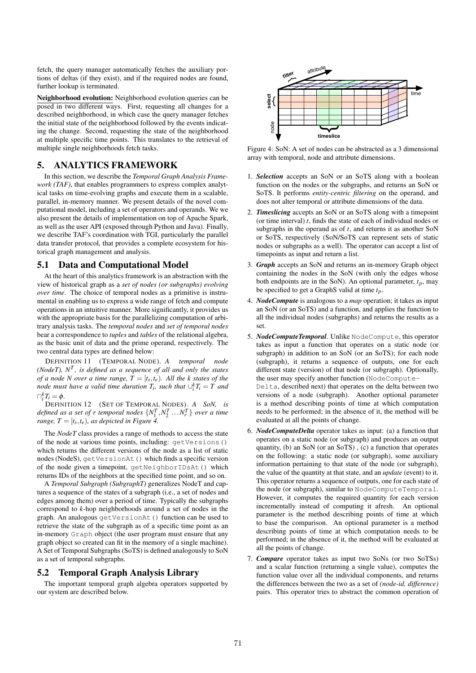fetch, the query manager automatically fetches the auxiliary portions of deltas (if they exist), and if the required nodes are found, further lookup is terminated.

Neighborhood evolution: Neighborhood evolution queries can be posed in two different ways. First, requesting all changes for a described neighborhood, in which case the query manager fetches the initial state of the neighborhood followed by the events indicating the change. Second, requesting the state of the neighborhood at multiple specific time points. This translates to the retrieval of multiple single neighborhoods fetch tasks.

## 5. ANALYTICS FRAMEWORK

In this section, we describe the *Temporal Graph Analysis Framework (TAF)*, that enables programmers to express complex analytical tasks on time-evolving graphs and execute them in a scalable, parallel, in-memory manner. We present details of the novel computational model, including a set of operators and operands. We we also present the details of implementation on top of Apache Spark, as well as the user API (exposed through Python and Java). Finally, we describe TAF's coordination with TGI, particularly the parallel data transfer protocol, that provides a complete ecosystem for historical graph management and analysis.

#### 5.1 Data and Computational Model

At the heart of this analytics framework is an abstraction with the view of historical graph as a *set of nodes (or subgraphs) evolving over time*. The choice of temporal nodes as a primitive is instrumental in enabling us to express a wide range of fetch and compute operations in an intuitive manner. More significantly, it provides us with the appropriate basis for the parallelizing computation of arbitrary analysis tasks. The *temporal nodes* and *set of temporal nodes* bear a correspondence to *tuples* and *tables* of the relational algebra, as the basic unit of data and the prime operand, respectively. The two central data types are defined below:

DEFINITION 11 (TEMPORAL NODE). *A temporal node (NodeT), N<sup>T</sup> , is defined as a sequence of all and only the states of a node N over a time range,*  $T = [t_s, t_e)$ *. All the k states of the node must have a valid time duration*  $T_i$ , such that  $\bigcup_i^k T_i = T$  and  $\bigcap_{i}^{k}T_{i}=\phi.$ 

*i* DEFINITION 12 (SET OF TEMPORAL NODES). *A SoN, is defined as a set of r temporal nodes*  $\{N_1^T, N_2^T, \ldots, N_r^T\}$  *over a time range,*  $T = [t_s, t_e)$ *, as depicted in Figure 4.* 

The *NodeT* class provides a range of methods to access the state of the node at various time points, including: getVersions() which returns the different versions of the node as a list of static nodes (NodeS), getVersionAt () which finds a specific version of the node given a timepoint, getNeighborIDsAt() which returns IDs of the neighbors at the specified time point, and so on.

A *Temporal Subgraph (SubgraphT)* generalizes NodeT and captures a sequence of the states of a subgraph (i.e., a set of nodes and edges among them) over a period of time. Typically the subgraphs correspond to *k*-hop neighborhoods around a set of nodes in the graph. An analogous getVersionAt() function can be used to retrieve the state of the subgraph as of a specific time point as an in-memory Graph object (the user program must ensure that any graph object so created can fit in the memory of a single machine). A Set of Temporal Subgraphs (SoTS) is defined analogously to SoN as a set of temporal subgraphs.

#### 5.2 Temporal Graph Analysis Library

The important temporal graph algebra operators supported by our system are described below.



Figure 4: SoN: A set of nodes can be abstracted as a 3 dimensional array with temporal, node and attribute dimensions.

- 1. *Selection* accepts an SoN or an SoTS along with a boolean function on the nodes or the subgraphs, and returns an SoN or SoTS. It performs *entity-centric filtering* on the operand, and does not alter temporal or attribute dimensions of the data.
- 2. *Timeslicing* accepts an SoN or an SoTS along with a timepoint (or time interval) *t*, finds the state of each of individual nodes or subgraphs in the operand as of *t*, and returns it as another SoN or SoTS, respectively (SoN/SoTS can represent sets of static nodes or subgraphs as a well). The operator can accept a list of timepoints as input and return a list.
- 3. *Graph* accepts an SoN and returns an in-memory Graph object containing the nodes in the SoN (with only the edges whose both endpoints are in the SoN). An optional parameter, *tp*, may be specified to get a GraphS valid at time *tp*.
- 4. *NodeCompute* is analogous to a *map* operation; it takes as input an SoN (or an SoTS) and a function, and applies the function to all the individual nodes (subgraphs) and returns the results as a set.
- 5. *NodeComputeTemporal*. Unlike NodeCompute, this operator takes as input a function that operates on a static node (or subgraph) in addition to an SoN (or an SoTS); for each node (subgraph), it returns a sequence of outputs, one for each different state (version) of that node (or subgraph). Optionally, the user may specify another function (NodeCompute-Delta, described next) that operates on the delta between two versions of a node (subgraph). Another optional parameter is a method describing points of time at which computation needs to be performed; in the absence of it, the method will be evaluated at all the points of change.
- 6. *NodeComputeDelta* operator takes as input: (a) a function that operates on a static node (or subgraph) and produces an output quantity, (b) an SoN (or an SoTS) , (c) a function that operates on the following: a static node (or subgraph), some auxiliary information pertaining to that state of the node (or subgraph), the value of the quantity at that state, and an *update* (event) to it. This operator returns a sequence of outputs, one for each state of the node (or subgraph), similar to NodeComputeTemporal. However, it computes the required quantity for each version incrementally instead of computing it afresh. An optional parameter is the method describing points of time at which to base the comparison. An optional parameter is a method describing points of time at which computation needs to be performed; in the absence of it, the method will be evaluated at all the points of change.
- 7. *Compare* operator takes as input two SoNs (or two SoTSs) and a scalar function (returning a single value), computes the function value over all the individual components, and returns the differences between the two as a set of *(node-id, difference)* pairs. This operator tries to abstract the common operation of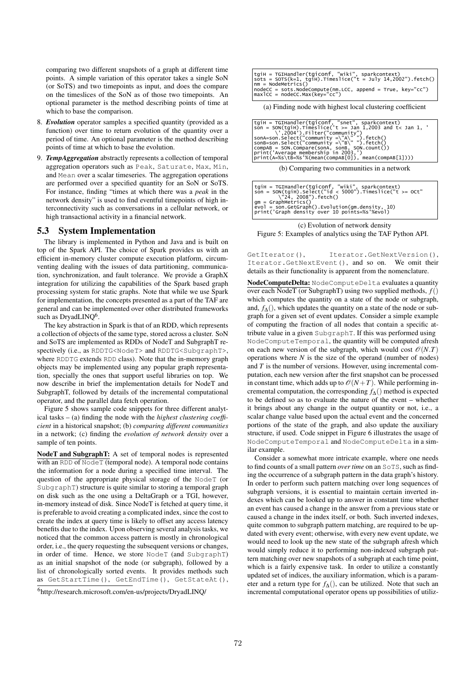comparing two different snapshots of a graph at different time points. A simple variation of this operator takes a single SoN (or SoTS) and two timepoints as input, and does the compare on the timeslices of the SoN as of those two timepoints. An optional parameter is the method describing points of time at which to base the comparison.

- 8. *Evolution* operator samples a specified quantity (provided as a function) over time to return evolution of the quantity over a period of time. An optional parameter is the method describing points of time at which to base the evolution.
- 9. *TempAggregation* abstractly represents a collection of temporal aggregation operators such as Peak, Saturate, Max, Min, and Mean over a scalar timeseries. The aggregation operations are performed over a specified quantity for an SoN or SoTS. For instance, finding "times at which there was a *peak* in the network density" is used to find eventful timepoints of high interconnectivity such as conversations in a cellular network, or high transactional activity in a financial network.

### 5.3 System Implementation

The library is implemented in Python and Java and is built on top of the Spark API. The choice of Spark provides us with an efficient in-memory cluster compute execution platform, circumventing dealing with the issues of data partitioning, communication, synchronization, and fault tolerance. We provide a GraphX integration for utilizing the capabilities of the Spark based graph processing system for static graphs. Note that while we use Spark for implementation, the concepts presented as a part of the TAF are general and can be implemented over other distributed frameworks such as DryadLINQ<sup>6</sup>.

The key abstraction in Spark is that of an RDD, which represents a collection of objects of the same type, stored across a cluster. SoN and SoTS are implemented as RDDs of NodeT and SubgraphT respectively (i.e., as RDDTG<NodeT> and RDDTG<SubgraphT>, where RDDTG extends RDD class). Note that the in-memory graph objects may be implemented using any popular graph representation, specially the ones that support useful libraries on top. We now describe in brief the implementation details for NodeT and SubgraphT, followed by details of the incremental computational operator, and the parallel data fetch operation.

Figure 5 shows sample code snippets for three different analytical tasks – (a) finding the node with the *highest clustering coefficient* in a historical snapshot; (b) *comparing different communities* in a network; (c) finding the *evolution of network density* over a sample of ten points.

NodeT and SubgraphT: A set of temporal nodes is represented with an RDD of  $NodeT$  (temporal node). A temporal node contains the information for a node during a specified time interval. The question of the appropriate physical storage of the NodeT (or SubgraphT) structure is quite similar to storing a temporal graph on disk such as the one using a DeltaGraph or a TGI, however, in-memory instead of disk. Since NodeT is fetched at query time, it is preferable to avoid creating a complicated index, since the cost to create the index at query time is likely to offset any access latency benefits due to the index. Upon observing several analysis tasks, we noticed that the common access pattern is mostly in chronological order, i.e., the query requesting the subsequent versions or changes, in order of time. Hence, we store NodeT (and SubgraphT) as an initial snapshot of the node (or subgraph), followed by a list of chronologically sorted events. It provides methods such as GetStartTime(), GetEndTime(), GetStateAt(),

| tgiH = TGIHandler(tgiconf, "wiki", sparkcontext)                           |
|----------------------------------------------------------------------------|
| $sots = sors(k=1, tqH).$ Timeslice(" $t = \text{July } 14,2002"$ ).fetch() |
| $nm = NodeMetrics()$                                                       |
| $nodeCC = sotsNodeCompute(mn.LCC, append = True, key='CC')$                |
| $maxICC = nodeCC.max(key='cc")$                                            |

(a) Finding node with highest local clustering coefficient

| tqiH = TGIHandler(tqiconf, "snet", sparkcontext)                  |
|-------------------------------------------------------------------|
| $\gamma$ son = SON(tgiH).Timeslice('t >= Jan 1,2003 and t< Jan 1, |
| $\backslash$ ',2004').Filter("community")                         |
|                                                                   |
|                                                                   |
| compAB = SON.Compare(sonA, sonB, SON.count())                     |
| print('Average membership in 2003.')                              |
| print(A=%s\tB=%s'%(mean(compAB[0]), mean(compAB[1])))             |

(b) Comparing two communities in a network

| tqiH = TGIHandler(tqiconf, "wiki", sparkcontext)              |
|---------------------------------------------------------------|
| $son = SON(tqih)$ . Select("id < 5000"). Timeslice("t >= OCt" |
| \"24. 2008").fetch()                                          |
| $am = GraphMetrices()$                                        |
| evol = son.GetGraph().Evolution(gm.density, 10)               |
| print('Graph density over 10 points=%s'%evol)                 |

(c) Evolution of network density Figure 5: Examples of analytics using the TAF Python API.

GetIterator(), Iterator.GetNextVersion(), Iterator.GetNextEvent(), and so on. We omit their details as their functionality is apparent from the nomenclature.

NodeComputeDelta: NodeComputeDelta evaluates a quantity over each NodeT (or SubgraphT) using two supplied methods, *f*() which computes the quantity on a state of the node or subgraph, and,  $f_{\Lambda}$ (), which updates the quantity on a state of the node or subgraph for a given set of event updates. Consider a simple example of computing the fraction of all nodes that contain a specific attribute value in a given SubgraphT. If this was performed using NodeComputeTemporal, the quantity will be computed afresh on each new version of the subgraph, which would cost  $\mathcal{O}(N \cdot T)$ operations where *N* is the size of the operand (number of nodes) and *T* is the number of versions. However, using incremental computation, each new version after the first snapshot can be processed in constant time, which adds up to  $\mathcal{O}(N+T)$ . While performing incremental computation, the corresponding *f*∆() method is expected to be defined so as to evaluate the nature of the event – whether it brings about any change in the output quantity or not, i.e., a scalar change value based upon the actual event and the concerned portions of the state of the graph, and also update the auxiliary structure, if used. Code snippet in Figure 6 illustrates the usage of NodeComputeTemporal and NodeComputeDelta in a similar example.

Consider a somewhat more intricate example, where one needs to find counts of a small pattern *over time* on an SoTS, such as finding the occurrence of a subgraph pattern in the data graph's history. In order to perform such pattern matching over long sequences of subgraph versions, it is essential to maintain certain inverted indexes which can be looked up to answer in constant time whether an event has caused a change in the answer from a previous state or caused a change in the index itself, or both. Such inverted indexes, quite common to subgraph pattern matching, are required to be updated with every event; otherwise, with every new event update, we would need to look up the new state of the subgraph afresh which would simply reduce it to performing non-indexed subgraph pattern matching over new snapshots of a subgraph at each time point, which is a fairly expensive task. In order to utilize a constantly updated set of indices, the auxiliary information, which is a parameter and a return type for *f*∆(), can be utilized. Note that such an incremental computational operator opens up possibilities of utiliz-

<sup>6</sup>http://research.microsoft.com/en-us/projects/DryadLINQ/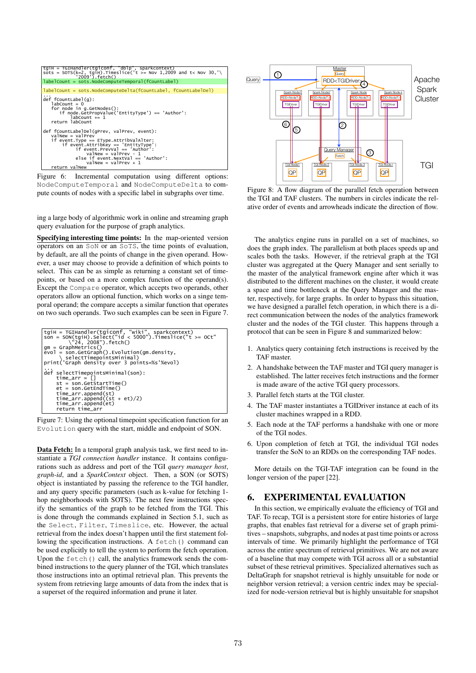| $'2009'$ . fetch $()$<br>labelCount = sots.NodeComputeTemporal(fCountLabel)<br>labelCount = sots.NodeComputeDelta(fCountLabel, fCountLabelDel)<br>def fCountLabel(g):<br>$labCount = 0$<br>for node in $q$ . GetNodes $()$ :<br>if node.GetPropValue('EntityType') == 'Author':<br>$labCount += 1$<br>return labCount<br>def fCountLabelDel(gPrev, valPrev, event):<br>$valNew = valprev$<br>if event. Type == $EType.AttribValAfter:$<br>if event Attribkey == 'EntityType':<br>$if event.PrevVal == 'Author':$ |
|------------------------------------------------------------------------------------------------------------------------------------------------------------------------------------------------------------------------------------------------------------------------------------------------------------------------------------------------------------------------------------------------------------------------------------------------------------------------------------------------------------------|
|                                                                                                                                                                                                                                                                                                                                                                                                                                                                                                                  |
|                                                                                                                                                                                                                                                                                                                                                                                                                                                                                                                  |
|                                                                                                                                                                                                                                                                                                                                                                                                                                                                                                                  |
| $valuew = valuev - 1$<br>else if event. NextVal == 'Author':<br>$valNew = valprev + 1$<br>return valNew                                                                                                                                                                                                                                                                                                                                                                                                          |

Figure 6: Incremental computation using different options: NodeComputeTemporal and NodeComputeDelta to compute counts of nodes with a specific label in subgraphs over time.

ing a large body of algorithmic work in online and streaming graph query evaluation for the purpose of graph analytics.

Specifying interesting time points: In the map-oriented version operators on an SoN or an SoTS, the time points of evaluation, by default, are all the points of change in the given operand. However, a user may choose to provide a definition of which points to select. This can be as simple as returning a constant set of timepoints, or based on a more complex function of the operand(s). Except the Compare operator, which accepts two operands, other operators allow an optional function, which works on a singe temporal operand; the compare accepts a similar function that operates on two such operands. Two such examples can be seen in Figure 7.

```
tgiH = TGIHandler(tgiconf, "wiki", sparkcontext)
son = SON(tgiH).Select("id < 5000").Timeslice("t >= OCt" 
 \"24, 2008").fetch()
gm = GraphMetrics()
evol = son.GetGraph().Evolution(gm.density,
 \ selectTimepointsMinimal)
print('Graph density over 3 points=%s'%evol)
...
def selectTimepointsMinimal(son):
 time_arr = []
 st = son.GetStartTime()
 et = son.GetEndTime()
 time_arr.append(st)
 time_arr.append((st + et)/2)
 time_arr.append(et)
 return time_arr
```


Data Fetch: In a temporal graph analysis task, we first need to instantiate a *TGI connection handler* instance. It contains configurations such as address and port of the TGI *query manager host*, *graph-id*, and a *SparkContext* object. Then, a SON (or SOTS) object is instantiated by passing the reference to the TGI handler, and any query specific parameters (such as k-value for fetching 1 hop neighborhoods with SOTS). The next few instructions specify the semantics of the graph to be fetched from the TGI. This is done through the commands explained in Section 5.1, such as the Select, Filter, Timeslice, etc. However, the actual retrieval from the index doesn't happen until the first statement following the specification instructions. A fetch() command can be used explicitly to tell the system to perform the fetch operation. Upon the fetch() call, the analytics framework sends the combined instructions to the query planner of the TGI, which translates those instructions into an optimal retrieval plan. This prevents the system from retrieving large amounts of data from the index that is a superset of the required information and prune it later.



Figure 8: A flow diagram of the parallel fetch operation between the TGI and TAF clusters. The numbers in circles indicate the relative order of events and arrowheads indicate the direction of flow.

The analytics engine runs in parallel on a set of machines, so does the graph index. The parallelism at both places speeds up and scales both the tasks. However, if the retrieval graph at the TGI cluster was aggregated at the Query Manager and sent serially to the master of the analytical framework engine after which it was distributed to the different machines on the cluster, it would create a space and time bottleneck at the Query Manager and the master, respectively, for large graphs. In order to bypass this situation, we have designed a parallel fetch operation, in which there is a direct communication between the nodes of the analytics framework cluster and the nodes of the TGI cluster. This happens through a protocol that can be seen in Figure 8 and summarized below:

- 1. Analytics query containing fetch instructions is received by the TAF master.
- 2. A handshake between the TAF master and TGI query manager is established. The latter receives fetch instructions and the former is made aware of the active TGI query processors.
- 3. Parallel fetch starts at the TGI cluster.
- 4. The TAF master instantiates a TGIDriver instance at each of its cluster machines wrapped in a RDD.
- 5. Each node at the TAF performs a handshake with one or more of the TGI nodes.
- 6. Upon completion of fetch at TGI, the individual TGI nodes transfer the SoN to an RDDs on the corresponding TAF nodes.

More details on the TGI-TAF integration can be found in the longer version of the paper [22].

#### 6. EXPERIMENTAL EVALUATION

In this section, we empirically evaluate the efficiency of TGI and TAF. To recap, TGI is a persistent store for entire histories of large graphs, that enables fast retrieval for a diverse set of graph primitives – snapshots, subgraphs, and nodes at past time points or across intervals of time. We primarily highlight the performance of TGI across the entire spectrum of retrieval primitives. We are not aware of a baseline that may compete with TGI across all or a substantial subset of these retrieval primitives. Specialized alternatives such as DeltaGraph for snapshot retrieval is highly unsuitable for node or neighbor version retrieval; a version centric index may be specialized for node-version retrieval but is highly unsuitable for snapshot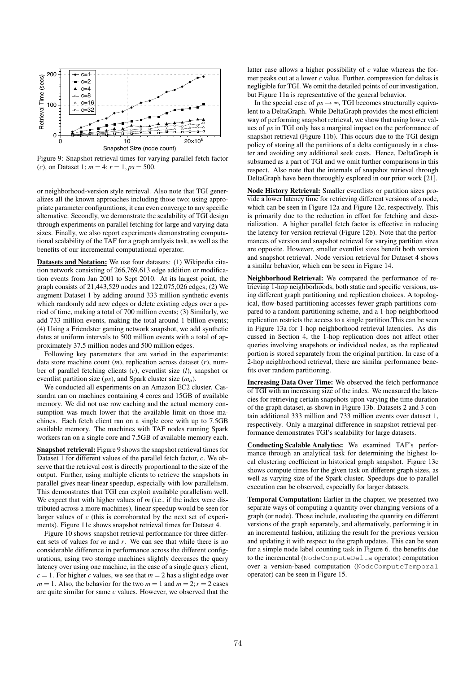

Figure 9: Snapshot retrieval times for varying parallel fetch factor (*c*), on Dataset 1;  $m = 4$ ;  $r = 1$ ,  $ps = 500$ .

or neighborhood-version style retrieval. Also note that TGI generalizes all the known approaches including those two; using appropriate parameter configurations, it can even converge to any specific alternative. Secondly, we demonstrate the scalability of TGI design through experiments on parallel fetching for large and varying data sizes. Finally, we also report experiments demonstrating computational scalability of the TAF for a graph analysis task, as well as the benefits of our incremental computational operator.

Datasets and Notation: We use four datasets: (1) Wikipedia citation network consisting of 266,769,613 edge addition or modification events from Jan 2001 to Sept 2010. At its largest point, the graph consists of 21,443,529 nodes and 122,075,026 edges; (2) We augment Dataset 1 by adding around 333 million synthetic events which randomly add new edges or delete existing edges over a period of time, making a total of 700 million events; (3) Similarly, we add 733 million events, making the total around 1 billion events; (4) Using a Friendster gaming network snapshot, we add synthetic dates at uniform intervals to 500 million events with a total of approximately 37.5 million nodes and 500 million edges.

Following key parameters that are varied in the experiments: data store machine count (*m*), replication across dataset (*r*), number of parallel fetching clients (*c*), eventlist size (*l*), snapshot or eventlist partition size (*ps*), and Spark cluster size (*ma*).

We conducted all experiments on an Amazon EC2 cluster. Cassandra ran on machines containing 4 cores and 15GB of available memory. We did not use row caching and the actual memory consumption was much lower that the available limit on those machines. Each fetch client ran on a single core with up to 7.5GB available memory. The machines with TAF nodes running Spark workers ran on a single core and 7.5GB of available memory each.

Snapshot retrieval: Figure 9 shows the snapshot retrieval times for Dataset 1 for different values of the parallel fetch factor, *c*. We observe that the retrieval cost is directly proportional to the size of the output. Further, using multiple clients to retrieve the snapshots in parallel gives near-linear speedup, especially with low parallelism. This demonstrates that TGI can exploit available parallelism well. We expect that with higher values of *m* (i.e., if the index were distributed across a more machines), linear speedup would be seen for larger values of *c* (this is corroborated by the next set of experiments). Figure 11c shows snapshot retrieval times for Dataset 4.

Figure 10 shows snapshot retrieval performance for three different sets of values for *m* and *r*. We can see that while there is no considerable difference in performance across the different configurations, using two storage machines slightly decreases the query latency over using one machine, in the case of a single query client,  $c = 1$ . For higher *c* values, we see that  $m = 2$  has a slight edge over  $m = 1$ . Also, the behavior for the two  $m = 1$  and  $m = 2$ ;  $r = 2$  cases are quite similar for same *c* values. However, we observed that the

latter case allows a higher possibility of *c* value whereas the former peaks out at a lower *c* value. Further, compression for deltas is negligible for TGI. We omit the detailed points of our investigation, but Figure 11a is representative of the general behavior.

In the special case of  $ps \rightarrow \infty$ , TGI becomes structurally equivalent to a DeltaGraph. While DeltaGraph provides the most efficient way of performing snapshot retrieval, we show that using lower values of *ps* in TGI only has a marginal impact on the performance of snapshot retrieval (Figure 11b). This occurs due to the TGI design policy of storing all the partitions of a delta contiguously in a cluster and avoiding any additional seek costs. Hence, DeltaGraph is subsumed as a part of TGI and we omit further comparisons in this respect. Also note that the internals of snapshot retrieval through DeltaGraph have been thoroughly explored in our prior work [21].

Node History Retrieval: Smaller eventlists or partition sizes provide a lower latency time for retrieving different versions of a node, which can be seen in Figure 12a and Figure 12c, respectively. This is primarily due to the reduction in effort for fetching and deserialization. A higher parallel fetch factor is effective in reducing the latency for version retrieval (Figure 12b). Note that the performances of version and snapshot retrieval for varying partition sizes are opposite. However, smaller eventlist sizes benefit both version and snapshot retrieval. Node version retrieval for Dataset 4 shows a similar behavior, which can be seen in Figure 14.

Neighborhood Retrieval: We compared the performance of retrieving 1-hop neighborhoods, both static and specific versions, using different graph partitioning and replication choices. A topological, flow-based partitioning accesses fewer graph partitions compared to a random partitioning scheme, and a 1-hop neighborhood replication restricts the access to a single partition.This can be seen in Figure 13a for 1-hop neighborhood retrieval latencies. As discussed in Section 4, the 1-hop replication does not affect other queries involving snapshots or individual nodes, as the replicated portion is stored separately from the original partition. In case of a 2-hop neighborhood retrieval, there are similar performance benefits over random partitioning.

Increasing Data Over Time: We observed the fetch performance of TGI with an increasing size of the index. We measured the latencies for retrieving certain snapshots upon varying the time duration of the graph dataset, as shown in Figure 13b. Datasets 2 and 3 contain additional 333 million and 733 million events over dataset 1, respectively. Only a marginal difference in snapshot retrieval performance demonstrates TGI's scalability for large datasets.

Conducting Scalable Analytics: We examined TAF's performance through an analytical task for determining the highest local clustering coefficient in historical graph snapshot. Figure 13c shows compute times for the given task on different graph sizes, as well as varying size of the Spark cluster. Speedups due to parallel execution can be observed, especially for larger datasets.

Temporal Computation: Earlier in the chapter, we presented two separate ways of computing a quantity over changing versions of a graph (or node). Those include, evaluating the quantity on different versions of the graph separately, and alternatively, performing it in an incremental fashion, utilizing the result for the previous version and updating it with respect to the graph updates. This can be seen for a simple node label counting task in Figure 6. the benefits due to the incremental (NodeComputeDelta operator) computation over a version-based computation (NodeComputeTemporal operator) can be seen in Figure 15.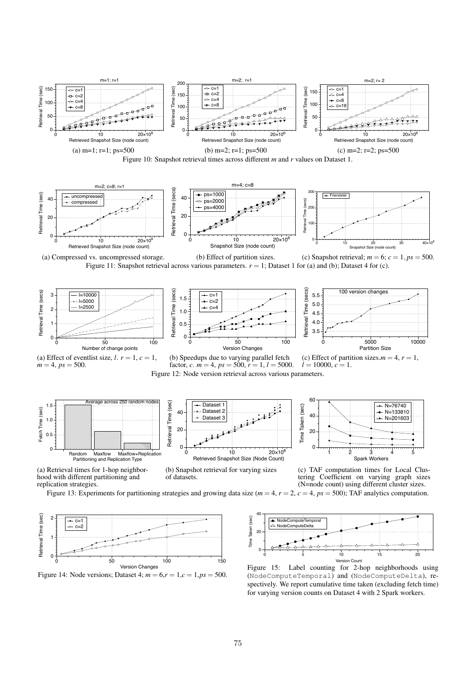





(a) Compressed vs. uncompressed storage. (b) Effect of partition sizes. (c) Snapshot retrieval;  $m = 6$ ;  $c = 1$ ,  $ps = 500$ . Figure 11: Snapshot retrieval across various parameters.  $r = 1$ ; Dataset 1 for (a) and (b); Dataset 4 for (c).









(b) Speedups due to varying parallel fetch factor, *c*.  $m = 4$ ,  $ps = 500$ ,  $r = 1$ ,  $l = 5000$ . Figure 12: Node version retrieval across various parameters.









**Dataset** 1 Dataset 2 Dataset 3

 $40$ 





(c) TAF computation times for Local Clustering Coefficient on varying graph sizes (N=node count) using different cluster sizes.

Figure 13: Experiments for partitioning strategies and growing data size  $(m = 4, r = 2, c = 4, ps = 500)$ ; TAF analytics computation.





Figure 15: Label counting for 2-hop neighborhoods using (NodeComputeTemporal) and (NodeComputeDelta), respectively. We report cumulative time taken (excluding fetch time) for varying version counts on Dataset 4 with 2 Spark workers.